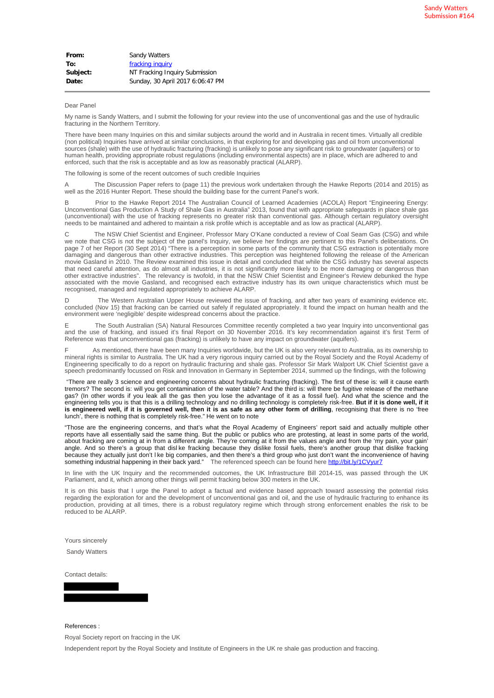## Dear Panel

My name is Sandy Watters, and I submit the following for your review into the use of unconventional gas and the use of hydraulic fracturing in the Northern Territory.

There have been many Inquiries on this and similar subjects around the world and in Australia in recent times. Virtually all credible (non political) Inquiries have arrived at similar conclusions, in that exploring for and developing gas and oil from unconventional sources (shale) with the use of hydraulic fracturing (fracking) is unlikely to pose any significant risk to groundwater (aquifers) or to human health, providing appropriate robust regulations (including environmental aspects) are in place, which are adhered to and enforced, such that the risk is acceptable and as low as reasonably practical (ALARP).

The following is some of the recent outcomes of such credible Inquiries

The Discussion Paper refers to (page 11) the previous work undertaken through the Hawke Reports (2014 and 2015) as well as the 2016 Hunter Report. These should the building base for the current Panel's work.

B Prior to the Hawke Report 2014 The Australian Council of Learned Academies (ACOLA) Report "Engineering Energy: Unconventional Gas Production A Study of Shale Gas in Australia" 2013, found that with appropriate safeguards in place shale gas (unconventional) with the use of fracking represents no greater risk than conventional gas. Although certain regulatory oversight needs to be maintained and adhered to maintain a risk profile which is acceptable and as low as practical (ALARP).

The NSW Chief Scientist and Engineer, Professor Mary O'Kane conducted a review of Coal Seam Gas (CSG) and while we note that CSG is not the subject of the panel's Inquiry, we believe her findings are pertinent to this Panel's deliberations. On page 7 of her Report (30 Sept 2014) "There is a perception in some parts of the community that CSG extraction is potentially more damaging and dangerous than other extractive industries. This perception was heightened following the release of the American movie Gasland in 2010. The Review examined this issue in detail and concluded that while the CSG industry has several aspects that need careful attention, as do almost all industries, it is not significantly more likely to be more damaging or dangerous than other extractive industries". The relevancy is twofold, in that the NSW Chief Scientist and Engineer's Review debunked the hype associated with the movie Gasland, and recognised each extractive industry has its own unique characteristics which must be recognised, managed and regulated appropriately to achieve ALARP.

D The Western Australian Upper House reviewed the issue of fracking, and after two years of examining evidence etc. concluded (Nov 15) that fracking can be carried out safely if regulated appropriately. It found the impact on human health and the environment were 'negligible' despite widespread concerns about the practice.

The South Australian (SA) Natural Resources Committee recently completed a two year Inquiry into unconventional gas and the use of fracking, and issued it's final Report on 30 November 2016. It's key recommendation against it's first Term of Reference was that unconventional gas (fracking) is unlikely to have any impact on groundwater (aquifers).

As mentioned, there have been many Inquiries worldwide, but the UK is also very relevant to Australia, as its ownership to mineral rights is similar to Australia. The UK had a very rigorous inquiry carried out by the Royal Society and the Royal Academy of Engineering specifically to do a report on hydraulic fracturing and shale gas. Professor Sir Mark Walport UK Chief Scientist gave a speech predominantly focussed on Risk and Innovation in Germany in September 2014, summed up the findings, with the following

"There are really 3 science and engineering concerns about hydraulic fracturing (fracking). The first of these is: will it cause earth tremors? The second is: will you get contamination of the water table? And the third is: will there be fugitive release of the methane gas? (In other words if you leak all the gas then you lose the advantage of it as a fossil fuel). And what the science and the engineering tells you is that this is a drilling technology and no drilling technology is completely risk-free. **But if it is done well, if it is engineered well, if it is governed well, then it is as safe as any other form of drilling**, recognising that there is no 'free lunch', there is nothing that is completely risk-free." He went on to note

"Those are the engineering concerns, and that's what the Royal Academy of Engineers' report said and actually multiple other reports have all essentially said the same thing. But the public or publics who are protesting, at least in some parts of the world, about fracking are coming at in from a different angle. They're coming at it from the values angle and from the 'my pain, your gain' angle. And so there's a group that disl ke fracking because they dislike fossil fuels, there's another group that dislike fracking because they actually just don't l ke big companies, and then there's a third group who just don't want the inconvenience of having something industrial happening in their back yard." The referenced speech can be found here http://bit.ly/1CVyur7

In line with the UK Inquiry and the recommended outcomes, the UK Infrastructure Bill 2014-15, was passed through the UK Parliament, and it, which among other things will permit fracking below 300 meters in the UK.

It is on this basis that I urge the Panel to adopt a factual and evidence based approach toward assessing the potential risks regarding the exploration for and the development of unconventional gas and oil, and the use of hydraulic fracturing to enhance its production, providing at all times, there is a robust regulatory regime which through strong enforcement enables the risk to be reduced to be ALARF

Yours sincerely

Sandy Watters

Contact details:

References :

Royal Society report on fraccing in the UK

Independent report by the Royal Society and Institute of Engineers in the UK re shale gas production and fraccing.